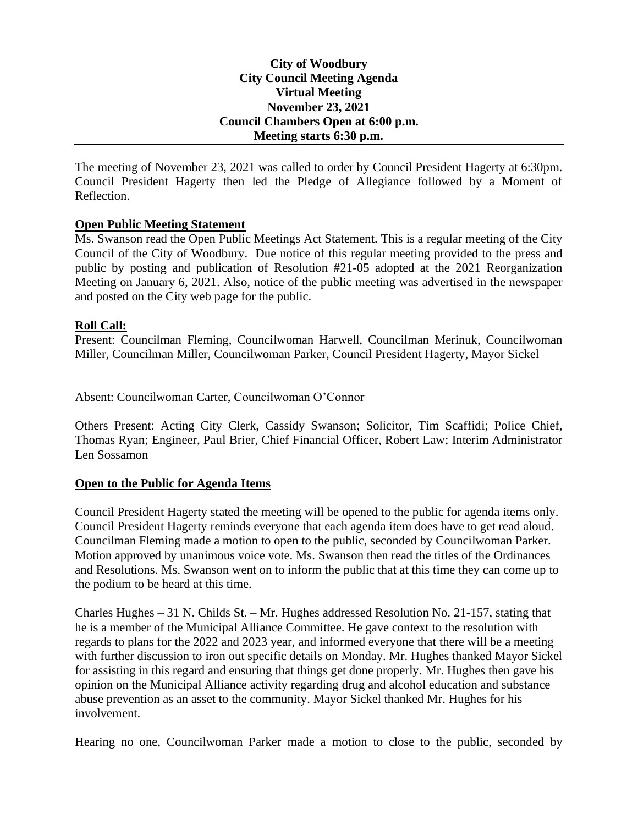### **City of Woodbury City Council Meeting Agenda Virtual Meeting November 23, 2021 Council Chambers Open at 6:00 p.m. Meeting starts 6:30 p.m.**

The meeting of November 23, 2021 was called to order by Council President Hagerty at 6:30pm. Council President Hagerty then led the Pledge of Allegiance followed by a Moment of Reflection.

### **Open Public Meeting Statement**

Ms. Swanson read the Open Public Meetings Act Statement. This is a regular meeting of the City Council of the City of Woodbury. Due notice of this regular meeting provided to the press and public by posting and publication of Resolution #21-05 adopted at the 2021 Reorganization Meeting on January 6, 2021. Also, notice of the public meeting was advertised in the newspaper and posted on the City web page for the public.

#### **Roll Call:**

Present: Councilman Fleming, Councilwoman Harwell, Councilman Merinuk, Councilwoman Miller, Councilman Miller, Councilwoman Parker, Council President Hagerty, Mayor Sickel

Absent: Councilwoman Carter, Councilwoman O'Connor

Others Present: Acting City Clerk, Cassidy Swanson; Solicitor, Tim Scaffidi; Police Chief, Thomas Ryan; Engineer, Paul Brier, Chief Financial Officer, Robert Law; Interim Administrator Len Sossamon

# **Open to the Public for Agenda Items**

Council President Hagerty stated the meeting will be opened to the public for agenda items only. Council President Hagerty reminds everyone that each agenda item does have to get read aloud. Councilman Fleming made a motion to open to the public, seconded by Councilwoman Parker. Motion approved by unanimous voice vote. Ms. Swanson then read the titles of the Ordinances and Resolutions. Ms. Swanson went on to inform the public that at this time they can come up to the podium to be heard at this time.

Charles Hughes – 31 N. Childs St. – Mr. Hughes addressed Resolution No. 21-157, stating that he is a member of the Municipal Alliance Committee. He gave context to the resolution with regards to plans for the 2022 and 2023 year, and informed everyone that there will be a meeting with further discussion to iron out specific details on Monday. Mr. Hughes thanked Mayor Sickel for assisting in this regard and ensuring that things get done properly. Mr. Hughes then gave his opinion on the Municipal Alliance activity regarding drug and alcohol education and substance abuse prevention as an asset to the community. Mayor Sickel thanked Mr. Hughes for his involvement.

Hearing no one, Councilwoman Parker made a motion to close to the public, seconded by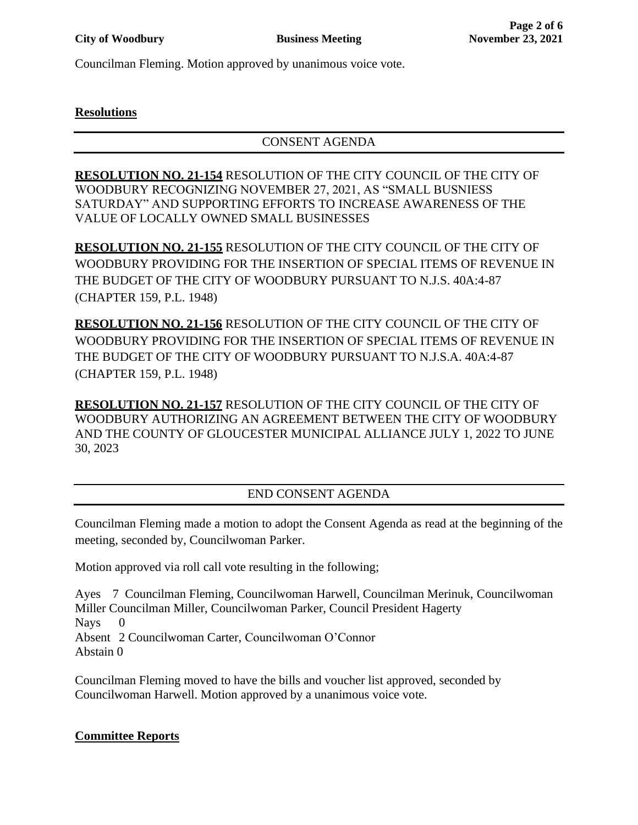Councilman Fleming. Motion approved by unanimous voice vote.

#### **Resolutions**

CONSENT AGENDA

**RESOLUTION NO. 21-154** RESOLUTION OF THE CITY COUNCIL OF THE CITY OF WOODBURY RECOGNIZING NOVEMBER 27, 2021, AS "SMALL BUSNIESS SATURDAY" AND SUPPORTING EFFORTS TO INCREASE AWARENESS OF THE VALUE OF LOCALLY OWNED SMALL BUSINESSES

**RESOLUTION NO. 21-155** RESOLUTION OF THE CITY COUNCIL OF THE CITY OF WOODBURY PROVIDING FOR THE INSERTION OF SPECIAL ITEMS OF REVENUE IN THE BUDGET OF THE CITY OF WOODBURY PURSUANT TO N.J.S. 40A:4-87 (CHAPTER 159, P.L. 1948)

**RESOLUTION NO. 21-156** RESOLUTION OF THE CITY COUNCIL OF THE CITY OF WOODBURY PROVIDING FOR THE INSERTION OF SPECIAL ITEMS OF REVENUE IN THE BUDGET OF THE CITY OF WOODBURY PURSUANT TO N.J.S.A. 40A:4-87 (CHAPTER 159, P.L. 1948)

**RESOLUTION NO. 21-157** RESOLUTION OF THE CITY COUNCIL OF THE CITY OF WOODBURY AUTHORIZING AN AGREEMENT BETWEEN THE CITY OF WOODBURY AND THE COUNTY OF GLOUCESTER MUNICIPAL ALLIANCE JULY 1, 2022 TO JUNE 30, 2023

# END CONSENT AGENDA

Councilman Fleming made a motion to adopt the Consent Agenda as read at the beginning of the meeting, seconded by, Councilwoman Parker.

Motion approved via roll call vote resulting in the following;

Ayes 7 Councilman Fleming, Councilwoman Harwell, Councilman Merinuk, Councilwoman Miller Councilman Miller, Councilwoman Parker, Council President Hagerty Nays 0 Absent 2 Councilwoman Carter, Councilwoman O'Connor Abstain 0

Councilman Fleming moved to have the bills and voucher list approved, seconded by Councilwoman Harwell. Motion approved by a unanimous voice vote.

#### **Committee Reports**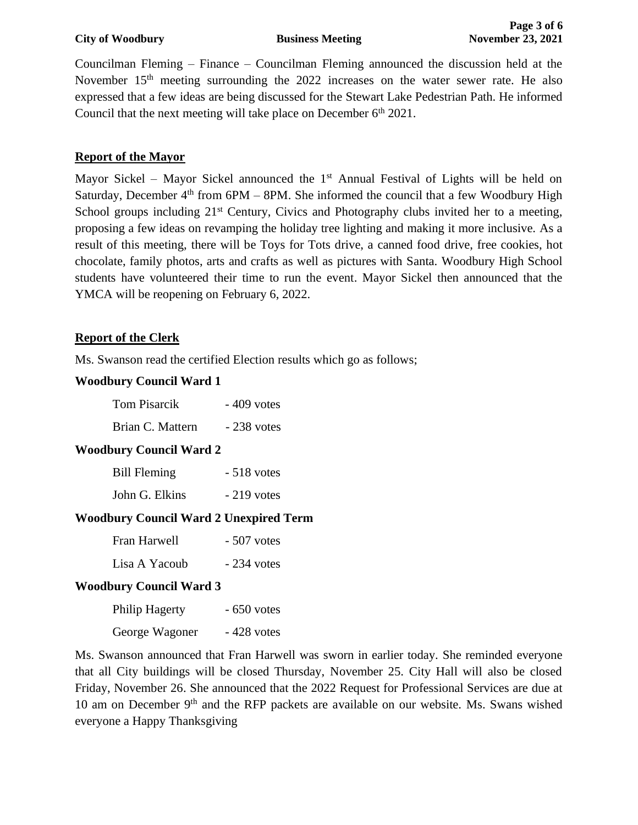Councilman Fleming – Finance – Councilman Fleming announced the discussion held at the November 15<sup>th</sup> meeting surrounding the 2022 increases on the water sewer rate. He also expressed that a few ideas are being discussed for the Stewart Lake Pedestrian Path. He informed Council that the next meeting will take place on December  $6<sup>th</sup> 2021$ .

# **Report of the Mayor**

Mayor Sickel – Mayor Sickel announced the  $1<sup>st</sup>$  Annual Festival of Lights will be held on Saturday, December  $4<sup>th</sup>$  from 6PM – 8PM. She informed the council that a few Woodbury High School groups including 21<sup>st</sup> Century, Civics and Photography clubs invited her to a meeting, proposing a few ideas on revamping the holiday tree lighting and making it more inclusive. As a result of this meeting, there will be Toys for Tots drive, a canned food drive, free cookies, hot chocolate, family photos, arts and crafts as well as pictures with Santa. Woodbury High School students have volunteered their time to run the event. Mayor Sickel then announced that the YMCA will be reopening on February 6, 2022.

# **Report of the Clerk**

Ms. Swanson read the certified Election results which go as follows;

# **Woodbury Council Ward 1**

Brian C. Mattern - 238 votes

# **Woodbury Council Ward 2**

| <b>Bill Fleming</b> | $-518$ votes |
|---------------------|--------------|
| John G. Elkins      | $-219$ votes |

# **Woodbury Council Ward 2 Unexpired Term**

| Fran Harwell  | $-507$ votes |
|---------------|--------------|
| Lisa A Yacoub | $-234$ votes |

# **Woodbury Council Ward 3**

| Philip Hagerty | $-650$ votes |
|----------------|--------------|
| George Wagoner | $-428$ votes |

Ms. Swanson announced that Fran Harwell was sworn in earlier today. She reminded everyone that all City buildings will be closed Thursday, November 25. City Hall will also be closed Friday, November 26. She announced that the 2022 Request for Professional Services are due at 10 am on December  $9<sup>th</sup>$  and the RFP packets are available on our website. Ms. Swans wished everyone a Happy Thanksgiving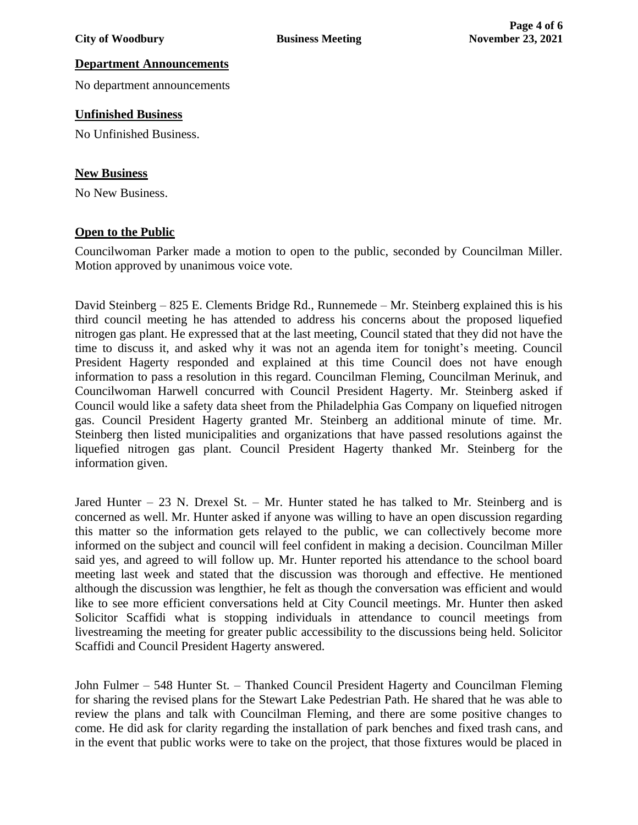#### **Department Announcements**

No department announcements

#### **Unfinished Business**

No Unfinished Business.

#### **New Business**

No New Business.

#### **Open to the Public**

Councilwoman Parker made a motion to open to the public, seconded by Councilman Miller. Motion approved by unanimous voice vote.

David Steinberg – 825 E. Clements Bridge Rd., Runnemede – Mr. Steinberg explained this is his third council meeting he has attended to address his concerns about the proposed liquefied nitrogen gas plant. He expressed that at the last meeting, Council stated that they did not have the time to discuss it, and asked why it was not an agenda item for tonight's meeting. Council President Hagerty responded and explained at this time Council does not have enough information to pass a resolution in this regard. Councilman Fleming, Councilman Merinuk, and Councilwoman Harwell concurred with Council President Hagerty. Mr. Steinberg asked if Council would like a safety data sheet from the Philadelphia Gas Company on liquefied nitrogen gas. Council President Hagerty granted Mr. Steinberg an additional minute of time. Mr. Steinberg then listed municipalities and organizations that have passed resolutions against the liquefied nitrogen gas plant. Council President Hagerty thanked Mr. Steinberg for the information given.

Jared Hunter – 23 N. Drexel St. – Mr. Hunter stated he has talked to Mr. Steinberg and is concerned as well. Mr. Hunter asked if anyone was willing to have an open discussion regarding this matter so the information gets relayed to the public, we can collectively become more informed on the subject and council will feel confident in making a decision. Councilman Miller said yes, and agreed to will follow up. Mr. Hunter reported his attendance to the school board meeting last week and stated that the discussion was thorough and effective. He mentioned although the discussion was lengthier, he felt as though the conversation was efficient and would like to see more efficient conversations held at City Council meetings. Mr. Hunter then asked Solicitor Scaffidi what is stopping individuals in attendance to council meetings from livestreaming the meeting for greater public accessibility to the discussions being held. Solicitor Scaffidi and Council President Hagerty answered.

John Fulmer – 548 Hunter St. – Thanked Council President Hagerty and Councilman Fleming for sharing the revised plans for the Stewart Lake Pedestrian Path. He shared that he was able to review the plans and talk with Councilman Fleming, and there are some positive changes to come. He did ask for clarity regarding the installation of park benches and fixed trash cans, and in the event that public works were to take on the project, that those fixtures would be placed in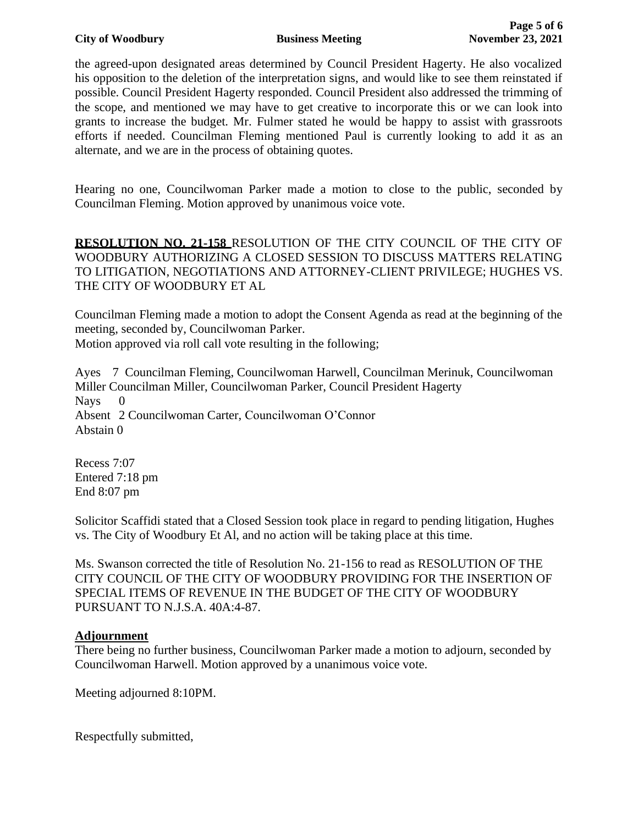the agreed-upon designated areas determined by Council President Hagerty. He also vocalized his opposition to the deletion of the interpretation signs, and would like to see them reinstated if possible. Council President Hagerty responded. Council President also addressed the trimming of the scope, and mentioned we may have to get creative to incorporate this or we can look into grants to increase the budget. Mr. Fulmer stated he would be happy to assist with grassroots efforts if needed. Councilman Fleming mentioned Paul is currently looking to add it as an alternate, and we are in the process of obtaining quotes.

Hearing no one, Councilwoman Parker made a motion to close to the public, seconded by Councilman Fleming. Motion approved by unanimous voice vote.

# **RESOLUTION NO. 21-158** RESOLUTION OF THE CITY COUNCIL OF THE CITY OF WOODBURY AUTHORIZING A CLOSED SESSION TO DISCUSS MATTERS RELATING TO LITIGATION, NEGOTIATIONS AND ATTORNEY-CLIENT PRIVILEGE; HUGHES VS. THE CITY OF WOODBURY ET AL

Councilman Fleming made a motion to adopt the Consent Agenda as read at the beginning of the meeting, seconded by, Councilwoman Parker. Motion approved via roll call vote resulting in the following;

Ayes 7 Councilman Fleming, Councilwoman Harwell, Councilman Merinuk, Councilwoman Miller Councilman Miller, Councilwoman Parker, Council President Hagerty Nays 0 Absent 2 Councilwoman Carter, Councilwoman O'Connor

Abstain 0

Recess 7:07 Entered 7:18 pm End 8:07 pm

Solicitor Scaffidi stated that a Closed Session took place in regard to pending litigation, Hughes vs. The City of Woodbury Et Al, and no action will be taking place at this time.

Ms. Swanson corrected the title of Resolution No. 21-156 to read as RESOLUTION OF THE CITY COUNCIL OF THE CITY OF WOODBURY PROVIDING FOR THE INSERTION OF SPECIAL ITEMS OF REVENUE IN THE BUDGET OF THE CITY OF WOODBURY PURSUANT TO N.J.S.A. 40A:4-87.

# **Adjournment**

There being no further business, Councilwoman Parker made a motion to adjourn, seconded by Councilwoman Harwell. Motion approved by a unanimous voice vote.

Meeting adjourned 8:10PM.

Respectfully submitted,